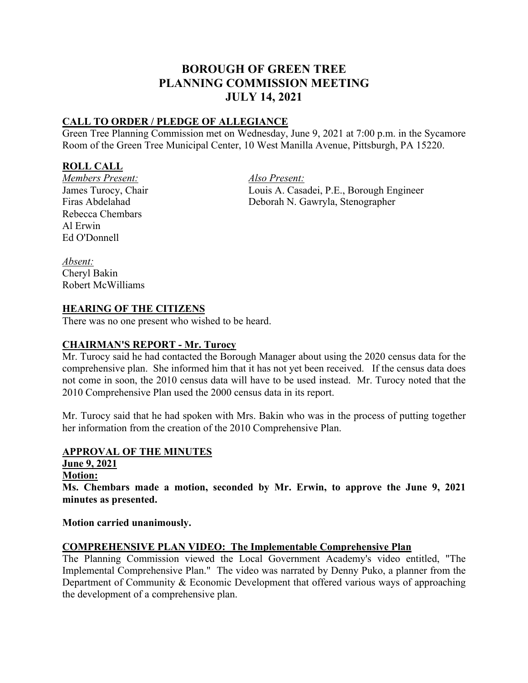# **BOROUGH OF GREEN TREE PLANNING COMMISSION MEETING JULY 14, 2021**

### **CALL TO ORDER / PLEDGE OF ALLEGIANCE**

Green Tree Planning Commission met on Wednesday, June 9, 2021 at 7:00 p.m. in the Sycamore Room of the Green Tree Municipal Center, 10 West Manilla Avenue, Pittsburgh, PA 15220.

### **ROLL CALL**

*Members Present: Also Present:*  Rebecca Chembars Al Erwin Ed O'Donnell

James Turocy, Chair Louis A. Casadei, P.E., Borough Engineer Firas Abdelahad Deborah N. Gawryla, Stenographer

*Absent:* Cheryl Bakin Robert McWilliams

### **HEARING OF THE CITIZENS**

There was no one present who wished to be heard.

### **CHAIRMAN'S REPORT - Mr. Turocy**

Mr. Turocy said he had contacted the Borough Manager about using the 2020 census data for the comprehensive plan. She informed him that it has not yet been received. If the census data does not come in soon, the 2010 census data will have to be used instead. Mr. Turocy noted that the 2010 Comprehensive Plan used the 2000 census data in its report.

Mr. Turocy said that he had spoken with Mrs. Bakin who was in the process of putting together her information from the creation of the 2010 Comprehensive Plan.

## **APPROVAL OF THE MINUTES**

**June 9, 2021**

**Motion:**

**Ms. Chembars made a motion, seconded by Mr. Erwin, to approve the June 9, 2021 minutes as presented.**

**Motion carried unanimously.** 

### **COMPREHENSIVE PLAN VIDEO: The Implementable Comprehensive Plan**

The Planning Commission viewed the Local Government Academy's video entitled, "The Implemental Comprehensive Plan." The video was narrated by Denny Puko, a planner from the Department of Community & Economic Development that offered various ways of approaching the development of a comprehensive plan.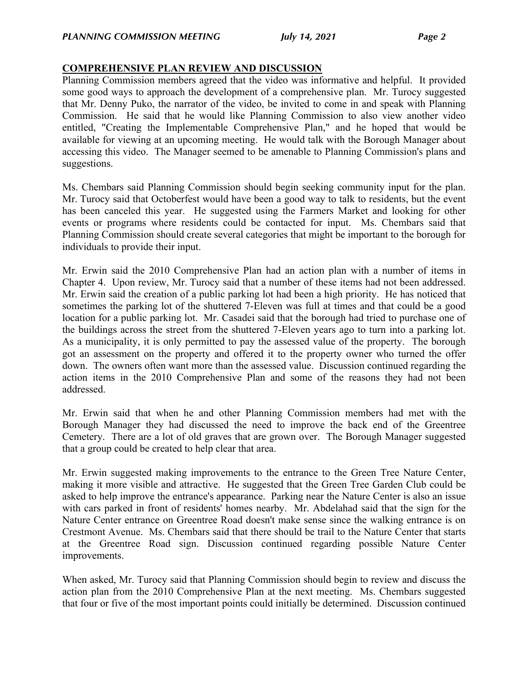#### **COMPREHENSIVE PLAN REVIEW AND DISCUSSION**

Planning Commission members agreed that the video was informative and helpful. It provided some good ways to approach the development of a comprehensive plan. Mr. Turocy suggested that Mr. Denny Puko, the narrator of the video, be invited to come in and speak with Planning Commission. He said that he would like Planning Commission to also view another video entitled, "Creating the Implementable Comprehensive Plan," and he hoped that would be available for viewing at an upcoming meeting. He would talk with the Borough Manager about accessing this video. The Manager seemed to be amenable to Planning Commission's plans and suggestions.

Ms. Chembars said Planning Commission should begin seeking community input for the plan. Mr. Turocy said that Octoberfest would have been a good way to talk to residents, but the event has been canceled this year. He suggested using the Farmers Market and looking for other events or programs where residents could be contacted for input. Ms. Chembars said that Planning Commission should create several categories that might be important to the borough for individuals to provide their input.

Mr. Erwin said the 2010 Comprehensive Plan had an action plan with a number of items in Chapter 4. Upon review, Mr. Turocy said that a number of these items had not been addressed. Mr. Erwin said the creation of a public parking lot had been a high priority. He has noticed that sometimes the parking lot of the shuttered 7-Eleven was full at times and that could be a good location for a public parking lot. Mr. Casadei said that the borough had tried to purchase one of the buildings across the street from the shuttered 7-Eleven years ago to turn into a parking lot. As a municipality, it is only permitted to pay the assessed value of the property. The borough got an assessment on the property and offered it to the property owner who turned the offer down. The owners often want more than the assessed value. Discussion continued regarding the action items in the 2010 Comprehensive Plan and some of the reasons they had not been addressed.

Mr. Erwin said that when he and other Planning Commission members had met with the Borough Manager they had discussed the need to improve the back end of the Greentree Cemetery. There are a lot of old graves that are grown over. The Borough Manager suggested that a group could be created to help clear that area.

Mr. Erwin suggested making improvements to the entrance to the Green Tree Nature Center, making it more visible and attractive. He suggested that the Green Tree Garden Club could be asked to help improve the entrance's appearance. Parking near the Nature Center is also an issue with cars parked in front of residents' homes nearby. Mr. Abdelahad said that the sign for the Nature Center entrance on Greentree Road doesn't make sense since the walking entrance is on Crestmont Avenue. Ms. Chembars said that there should be trail to the Nature Center that starts at the Greentree Road sign. Discussion continued regarding possible Nature Center improvements.

When asked, Mr. Turocy said that Planning Commission should begin to review and discuss the action plan from the 2010 Comprehensive Plan at the next meeting. Ms. Chembars suggested that four or five of the most important points could initially be determined. Discussion continued